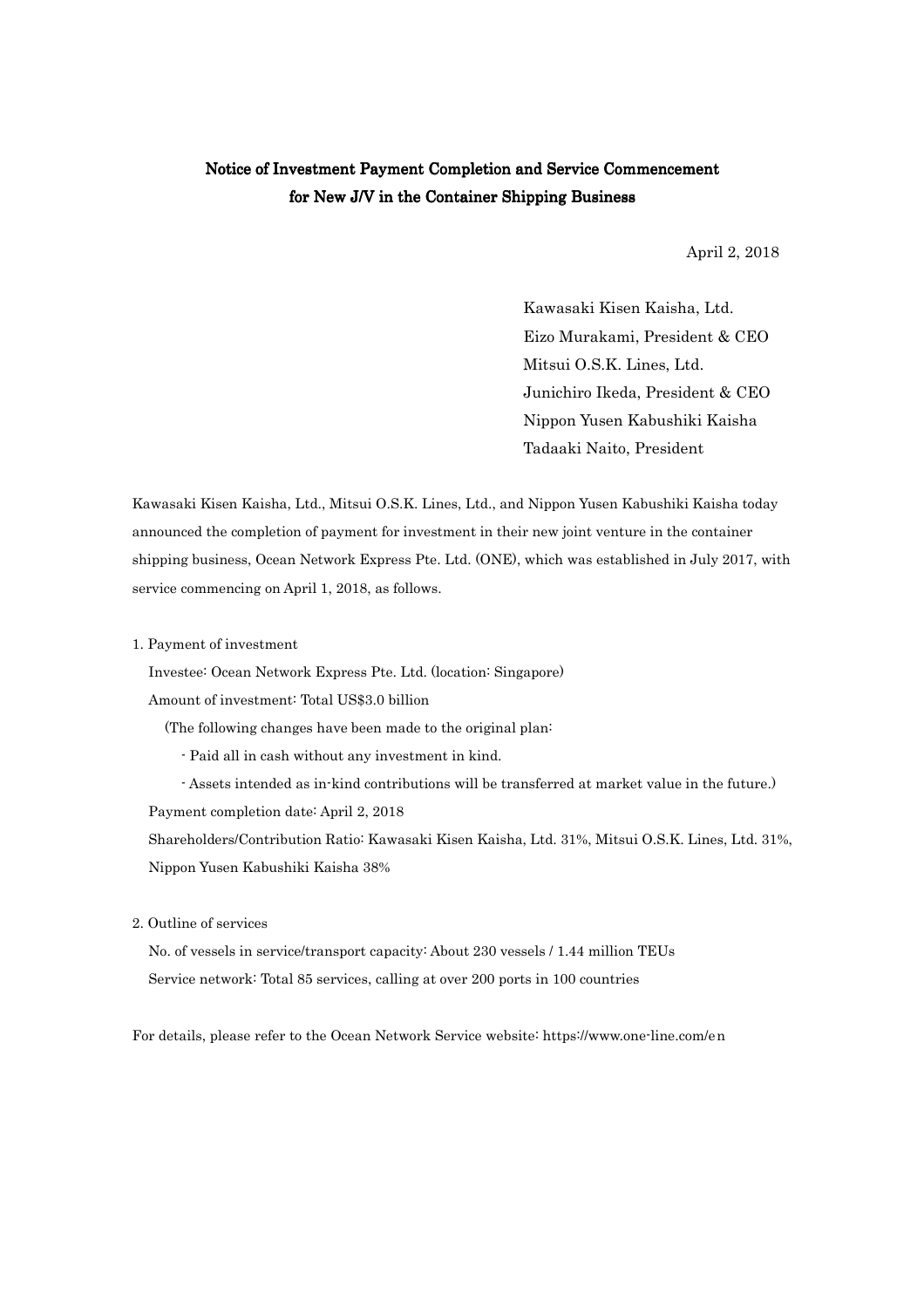## Notice of Investment Payment Completion and Service Commencement for New J/V in the Container Shipping Business

April 2, 2018

Kawasaki Kisen Kaisha, Ltd. Eizo Murakami, President & CEO Mitsui O.S.K. Lines, Ltd. Junichiro Ikeda, President & CEO Nippon Yusen Kabushiki Kaisha Tadaaki Naito, President

Kawasaki Kisen Kaisha, Ltd., Mitsui O.S.K. Lines, Ltd., and Nippon Yusen Kabushiki Kaisha today announced the completion of payment for investment in their new joint venture in the container shipping business, Ocean Network Express Pte. Ltd. (ONE), which was established in July 2017, with service commencing on April 1, 2018, as follows.

1. Payment of investment

Investee: Ocean Network Express Pte. Ltd. (location: Singapore)

Amount of investment: Total US\$3.0 billion

(The following changes have been made to the original plan:

- Paid all in cash without any investment in kind.

- Assets intended as in-kind contributions will be transferred at market value in the future.) Payment completion date: April 2, 2018

Shareholders/Contribution Ratio: Kawasaki Kisen Kaisha, Ltd. 31%, Mitsui O.S.K. Lines, Ltd. 31%, Nippon Yusen Kabushiki Kaisha 38%

2. Outline of services

No. of vessels in service/transport capacity: About 230 vessels / 1.44 million TEUs Service network: Total 85 services, calling at over 200 ports in 100 countries

For details, please refer to the Ocean Network Service website: https://www.one-line.com/en